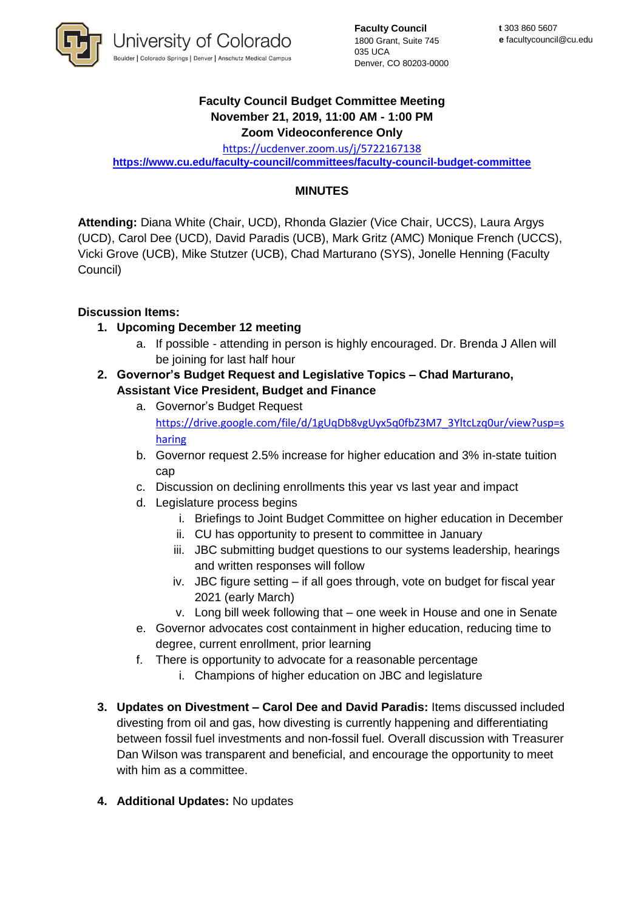

**Faculty Council** 1800 Grant, Suite 745 035 UCA Denver, CO 80203-0000

## **Faculty Council Budget Committee Meeting November 21, 2019, 11:00 AM - 1:00 PM Zoom Videoconference Only**

<https://ucdenver.zoom.us/j/5722167138> **<https://www.cu.edu/faculty-council/committees/faculty-council-budget-committee>**

## **MINUTES**

**Attending:** Diana White (Chair, UCD), Rhonda Glazier (Vice Chair, UCCS), Laura Argys (UCD), Carol Dee (UCD), David Paradis (UCB), Mark Gritz (AMC) Monique French (UCCS), Vicki Grove (UCB), Mike Stutzer (UCB), Chad Marturano (SYS), Jonelle Henning (Faculty Council)

## **Discussion Items:**

- **1. Upcoming December 12 meeting** 
	- a. If possible attending in person is highly encouraged. Dr. Brenda J Allen will be joining for last half hour
- **2. Governor's Budget Request and Legislative Topics – Chad Marturano, Assistant Vice President, Budget and Finance**
	- a. Governor's Budget Request [https://drive.google.com/file/d/1gUqDb8vgUyx5q0fbZ3M7\\_3YltcLzq0ur/view?usp=s](https://drive.google.com/file/d/1gUqDb8vgUyx5q0fbZ3M7_3YltcLzq0ur/view?usp=sharing) [haring](https://drive.google.com/file/d/1gUqDb8vgUyx5q0fbZ3M7_3YltcLzq0ur/view?usp=sharing)
	- b. Governor request 2.5% increase for higher education and 3% in-state tuition cap
	- c. Discussion on declining enrollments this year vs last year and impact
	- d. Legislature process begins
		- i. Briefings to Joint Budget Committee on higher education in December
		- ii. CU has opportunity to present to committee in January
		- iii. JBC submitting budget questions to our systems leadership, hearings and written responses will follow
		- iv. JBC figure setting if all goes through, vote on budget for fiscal year 2021 (early March)
		- v. Long bill week following that one week in House and one in Senate
	- e. Governor advocates cost containment in higher education, reducing time to degree, current enrollment, prior learning
	- f. There is opportunity to advocate for a reasonable percentage
		- i. Champions of higher education on JBC and legislature
- **3. Updates on Divestment – Carol Dee and David Paradis:** Items discussed included divesting from oil and gas, how divesting is currently happening and differentiating between fossil fuel investments and non-fossil fuel. Overall discussion with Treasurer Dan Wilson was transparent and beneficial, and encourage the opportunity to meet with him as a committee.
- **4. Additional Updates:** No updates